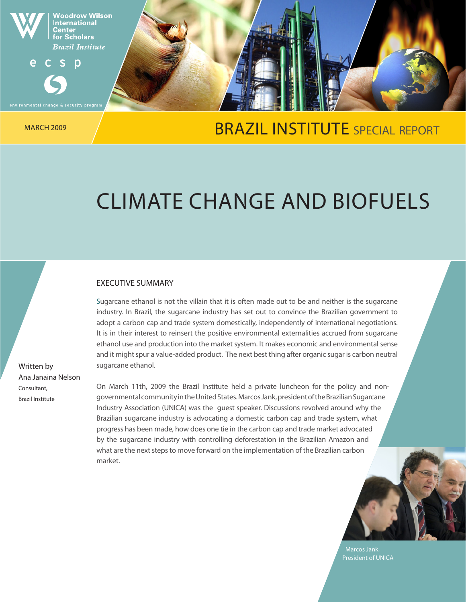

## MARCH 2009 A ARCH 2009 A REPORT BRAZIL INSTITUTE SPECIAL REPORT

# CLIMATE CHANGE AND BIOFUELS

#### EXECUTIVE SUMMARY

Sugarcane ethanol is not the villain that it is often made out to be and neither is the sugarcane industry. In Brazil, the sugarcane industry has set out to convince the Brazilian government to adopt a carbon cap and trade system domestically, independently of international negotiations. It is in their interest to reinsert the positive environmental externalities accrued from sugarcane ethanol use and production into the market system. It makes economic and environmental sense and it might spur a value-added product. The next best thing after organic sugar is carbon neutral sugarcane ethanol.

On March 11th, 2009 the Brazil Institute held a private luncheon for the policy and nongovernmental community in the United States. Marcos Jank, president of the Brazilian Sugarcane Industry Association (UNICA) was the guest speaker. Discussions revolved around why the Brazilian sugarcane industry is advocating a domestic carbon cap and trade system, what progress has been made, how does one tie in the carbon cap and trade market advocated by the sugarcane industry with controlling deforestation in the Brazilian Amazon and what are the next steps to move forward on the implementation of the Brazilian carbon market.



Marcos Jank, President of UNICA

Written by Ana Janaina Nelson Consultant, Brazil Institute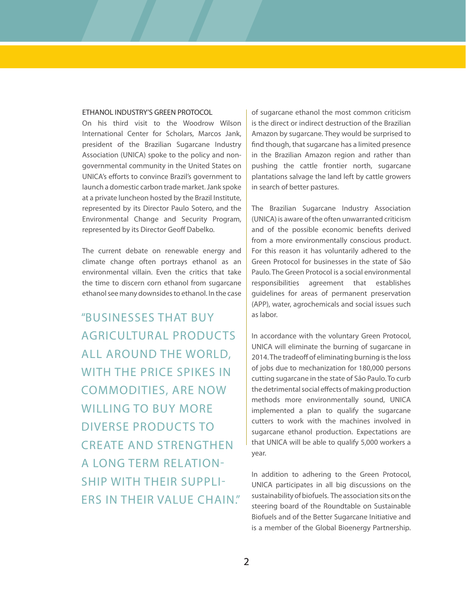#### ETHANOL INDUSTRY'S GREEN PROTOCOL

On his third visit to the Woodrow Wilson International Center for Scholars, Marcos Jank, president of the Brazilian Sugarcane Industry Association (UNICA) spoke to the policy and nongovernmental community in the United States on UNICA's efforts to convince Brazil's government to launch a domestic carbon trade market. Jank spoke at a private luncheon hosted by the Brazil Institute, represented by its Director Paulo Sotero, and the Environmental Change and Security Program, represented by its Director Geoff Dabelko.

The current debate on renewable energy and climate change often portrays ethanol as an environmental villain. Even the critics that take the time to discern corn ethanol from sugarcane ethanol see many downsides to ethanol. In the case

"BUSINESSES THAT BUY<br>AGRICULTURAL PRODUCTS<br>ALL AROUND THE WORLD,<br>WITH THE PRICE SPIKES IN<br>COMMODITIES, ARE NOW<br>WILLING TO BUY MORE<br>DIVERSE PRODUCTS TO<br>CREATE AND STRENGTHEN<br>A LONG TERM RELATION-<br>SHIP WITH THEIR SUPPLI-<br>ERS AGRICULTURAL PRODUCTS ALL AROUND THE WORLD, WITH THE PRICE SPIKES IN COMMODITIES, ARE NOW WILLING TO BUY MORE DIVERSE PRODUCTS TO CREATE AND STRENGTHEN A LONG TERM RELATION-SHIP WITH THEIR SUPPLI-ERS IN THEIR VALUE CHAIN."

of sugarcane ethanol the most common criticism is the direct or indirect destruction of the Brazilian Amazon by sugarcane. They would be surprised to find though, that sugarcane has a limited presence in the Brazilian Amazon region and rather than pushing the cattle frontier north, sugarcane plantations salvage the land left by cattle growers in search of better pastures.

The Brazilian Sugarcane Industry Association (UNICA) is aware of the often unwarranted criticism and of the possible economic benefits derived from a more environmentally conscious product. For this reason it has voluntarily adhered to the Green Protocol for businesses in the state of São Paulo. The Green Protocol is a social environmental responsibilities agreement that establishes guidelines for areas of permanent preservation (APP), water, agrochemicals and social issues such as labor.

In accordance with the voluntary Green Protocol, UNICA will eliminate the burning of sugarcane in 2014. The tradeoff of eliminating burning is the loss of jobs due to mechanization for 180,000 persons cutting sugarcane in the state of São Paulo. To curb the detrimental social effects of making production methods more environmentally sound, UNICA implemented a plan to qualify the sugarcane cutters to work with the machines involved in sugarcane ethanol production. Expectations are that UNICA will be able to qualify 5,000 workers a year.

In addition to adhering to the Green Protocol, UNICA participates in all big discussions on the sustainability of biofuels. The association sits on the steering board of the Roundtable on Sustainable Biofuels and of the Better Sugarcane Initiative and is a member of the Global Bioenergy Partnership.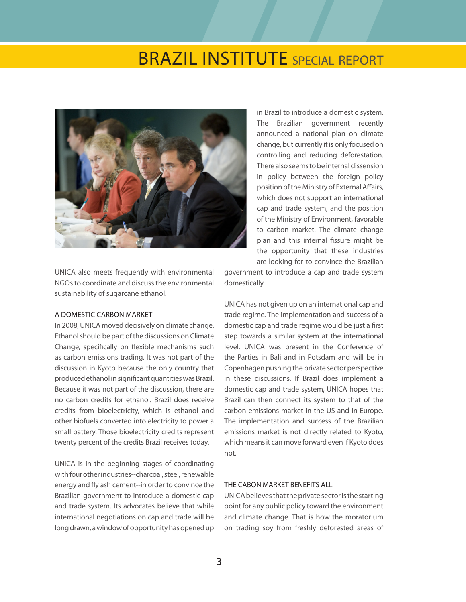## **BRAZIL INSTITUTE** SPECIAL REPORT



UNICA also meets frequently with environmental NGOs to coordinate and discuss the environmental sustainability of sugarcane ethanol.

#### A DOMESTIC CARBON MARKET

In 2008, UNICA moved decisively on climate change. Ethanol should be part of the discussions on Climate Change, specifically on flexible mechanisms such as carbon emissions trading. It was not part of the discussion in Kyoto because the only country that produced ethanol in significant quantities was Brazil. Because it was not part of the discussion, there are no carbon credits for ethanol. Brazil does receive credits from bioelectricity, which is ethanol and other biofuels converted into electricity to power a small battery. Those bioelectricity credits represent twenty percent of the credits Brazil receives today.

UNICA is in the beginning stages of coordinating with four other industries--charcoal, steel, renewable energy and fly ash cement--in order to convince the Brazilian government to introduce a domestic cap and trade system. Its advocates believe that while international negotiations on cap and trade will be long drawn, a window of opportunity has opened up in Brazil to introduce a domestic system. The Brazilian government recently announced a national plan on climate change, but currently it is only focused on controlling and reducing deforestation. There also seems to be internal dissension in policy between the foreign policy position of the Ministry of External Affairs, which does not support an international cap and trade system, and the position of the Ministry of Environment, favorable to carbon market. The climate change plan and this internal fissure might be the opportunity that these industries are looking for to convince the Brazilian

government to introduce a cap and trade system domestically.

UNICA has not given up on an international cap and trade regime. The implementation and success of a domestic cap and trade regime would be just a first step towards a similar system at the international level. UNICA was present in the Conference of the Parties in Bali and in Potsdam and will be in Copenhagen pushing the private sector perspective in these discussions. If Brazil does implement a domestic cap and trade system, UNICA hopes that Brazil can then connect its system to that of the carbon emissions market in the US and in Europe. The implementation and success of the Brazilian emissions market is not directly related to Kyoto, which means it can move forward even if Kyoto does not.

#### THE CABON MARKET BENEFITS ALL

UNICA believes that the private sector is the starting point for any public policy toward the environment and climate change. That is how the moratorium on trading soy from freshly deforested areas of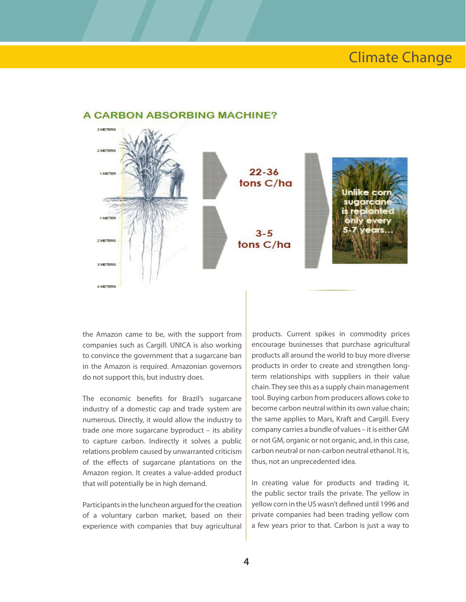### **Climate Change**



#### **A CARRON ARSORBING MACHINE?**

the Amazon came to be, with the support from companies such as Cargill. UNICA is also working to convince the government that a sugarcane ban in the Amazon is required. Amazonian governors do not support this, but industry does.

The economic benefits for Brazil's sugarcane industry of a domestic cap and trade system are numerous. Directly, it would allow the industry to trade one more sugarcane byproduct – its ability to capture carbon. Indirectly it solves a public relations problem caused by unwarranted criticism of the effects of sugarcane plantations on the Amazon region. It creates a value-added product that will potentially be in high demand.

Participants in the luncheon argued for the creation of a voluntary carbon market, based on their experience with companies that buy agricultural

products. Current spikes in commodity prices<br>encourage businesses that purchase agricultural<br>products all around the world to buy more diverse<br>products in order to create and strengthen long-<br>term relationships with suppli encourage businesses that purchase agricultural products all around the world to buy more diverse products in order to create and strengthen longterm relationships with suppliers in their value chain. They see this as a supply chain management tool. Buying carbon from producers allows coke to become carbon neutral within its own value chain; the same applies to Mars, Kraft and Cargill. Every company carries a bundle of values – it is either GM or not GM, organic or not organic, and, in this case, carbon neutral or non-carbon neutral ethanol. It is, thus, not an unprecedented idea.

In creating value for products and trading it, the public sector trails the private. The yellow in yellow corn in the US wasn't defined until 1996 and private companies had been trading yellow corn a few years prior to that. Carbon is just a way to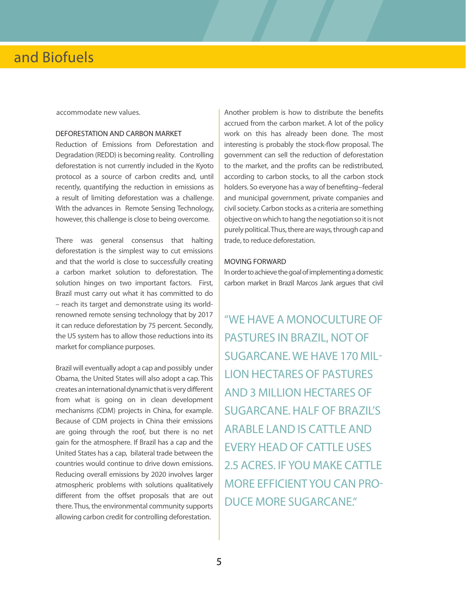accommodate new values.

#### DEFORESTATION AND CARBON MARKET

Reduction of Emissions from Deforestation and Degradation (REDD) is becoming reality. Controlling deforestation is not currently included in the Kyoto protocol as a source of carbon credits and, until recently, quantifying the reduction in emissions as a result of limiting deforestation was a challenge. With the advances in Remote Sensing Technology, however, this challenge is close to being overcome.

There was general consensus that halting deforestation is the simplest way to cut emissions and that the world is close to successfully creating a carbon market solution to deforestation. The solution hinges on two important factors. First, Brazil must carry out what it has committed to do – reach its target and demonstrate using its worldrenowned remote sensing technology that by 2017 it can reduce deforestation by 75 percent. Secondly, the US system has to allow those reductions into its market for compliance purposes.

Brazil will eventually adopt a cap and possibly under Obama, the United States will also adopt a cap. This creates an international dynamic that is very different from what is going on in clean development mechanisms (CDM) projects in China, for example. Because of CDM projects in China their emissions are going through the roof, but there is no net gain for the atmosphere. If Brazil has a cap and the United States has a cap, bilateral trade between the countries would continue to drive down emissions. Reducing overall emissions by 2020 involves larger atmospheric problems with solutions qualitatively different from the offset proposals that are out there. Thus, the environmental community supports allowing carbon credit for controlling deforestation.

Another problem is how to distribute the benefits accrued from the carbon market. A lot of the policy work on this has already been done. The most interesting is probably the stock-flow proposal. The government can sell the reduction of deforestation to the market, and the profits can be redistributed, according to carbon stocks, to all the carbon stock holders. So everyone has a way of benefiting--federal and municipal government, private companies and civil society. Carbon stocks as a criteria are something objective on which to hang the negotiation so it is not purely political. Thus, there are ways, through cap and trade, to reduce deforestation.

#### MOVING FORWARD

In order to achieve the goal of implementing a domestic carbon market in Brazil Marcos Jank argues that civil

"WE HAVE A MONOCULTURE OF PASTURES IN BRAZIL, NOT OF SUGARCANE. WE HAVE 170 MIL-LION HECTARES OF PASTURES AND 3 MILLION HECTARES OF SUGARCANE. HALF OF BRAZIL'S ARABLE LAND IS CATTLE AND EVERY HEAD OF CATTLE USES 2.5 ACRES. IF YOU MAKE CATTLE MORE EFFICIENT YOU CAN PRO-DUCE MORE SUGARCANE."